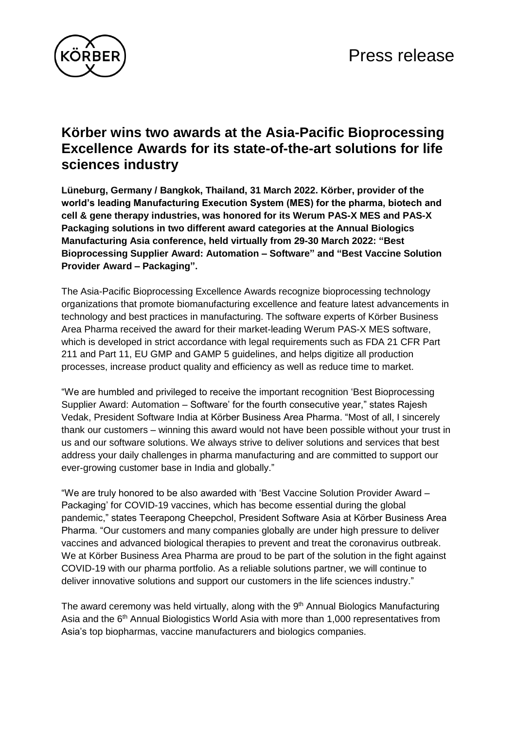

## **Körber wins two awards at the Asia-Pacific Bioprocessing Excellence Awards for its state-of-the-art solutions for life sciences industry**

**Lüneburg, Germany / Bangkok, Thailand, 31 March 2022. Körber, provider of the world's leading Manufacturing Execution System (MES) for the pharma, biotech and cell & gene therapy industries, was honored for its Werum PAS-X MES and PAS-X Packaging solutions in two different award categories at the Annual Biologics Manufacturing Asia conference, held virtually from 29-30 March 2022: "Best Bioprocessing Supplier Award: Automation – Software" and "Best Vaccine Solution Provider Award – Packaging".**

The Asia-Pacific Bioprocessing Excellence Awards recognize bioprocessing technology organizations that promote biomanufacturing excellence and feature latest advancements in technology and best practices in manufacturing. The software experts of Körber Business Area Pharma received the award for their market-leading Werum PAS-X MES software, which is developed in strict accordance with legal requirements such as FDA 21 CFR Part 211 and Part 11, EU GMP and GAMP 5 guidelines, and helps digitize all production processes, increase product quality and efficiency as well as reduce time to market.

"We are humbled and privileged to receive the important recognition 'Best Bioprocessing Supplier Award: Automation – Software' for the fourth consecutive year," states Rajesh Vedak, President Software India at Körber Business Area Pharma. "Most of all, I sincerely thank our customers – winning this award would not have been possible without your trust in us and our software solutions. We always strive to deliver solutions and services that best address your daily challenges in pharma manufacturing and are committed to support our ever-growing customer base in India and globally."

"We are truly honored to be also awarded with 'Best Vaccine Solution Provider Award – Packaging' for COVID-19 vaccines, which has become essential during the global pandemic," states Teerapong Cheepchol, President Software Asia at Körber Business Area Pharma. "Our customers and many companies globally are under high pressure to deliver vaccines and advanced biological therapies to prevent and treat the coronavirus outbreak. We at Körber Business Area Pharma are proud to be part of the solution in the fight against COVID-19 with our pharma portfolio. As a reliable solutions partner, we will continue to deliver innovative solutions and support our customers in the life sciences industry."

The award ceremony was held virtually, along with the 9<sup>th</sup> Annual Biologics Manufacturing Asia and the 6<sup>th</sup> Annual Biologistics World Asia with more than 1,000 representatives from Asia's top biopharmas, vaccine manufacturers and biologics companies.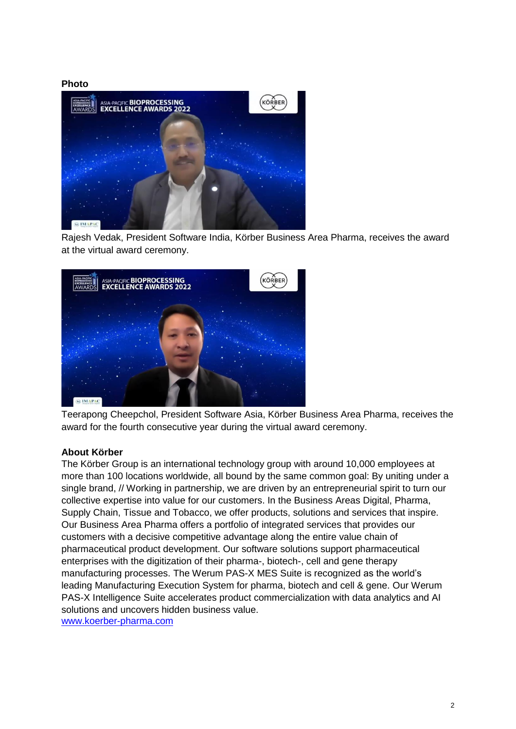**Photo**



Rajesh Vedak, President Software India, Körber Business Area Pharma, receives the award at the virtual award ceremony.



Teerapong Cheepchol, President Software Asia, Körber Business Area Pharma, receives the award for the fourth consecutive year during the virtual award ceremony.

## **About Körber**

The Körber Group is an international technology group with around 10,000 employees at more than 100 locations worldwide, all bound by the same common goal: By uniting under a single brand, // Working in partnership, we are driven by an entrepreneurial spirit to turn our collective expertise into value for our customers. In the Business Areas Digital, Pharma, Supply Chain, Tissue and Tobacco, we offer products, solutions and services that inspire. Our Business Area Pharma offers a portfolio of integrated services that provides our customers with a decisive competitive advantage along the entire value chain of pharmaceutical product development. Our software solutions support pharmaceutical enterprises with the digitization of their pharma-, biotech-, cell and gene therapy manufacturing processes. The Werum PAS-X MES Suite is recognized as the world's leading Manufacturing Execution System for pharma, biotech and cell & gene. Our Werum PAS-X Intelligence Suite accelerates product commercialization with data analytics and AI solutions and uncovers hidden business value. [www.koerber-pharma.com](http://www.koerber-pharma.com/)

2